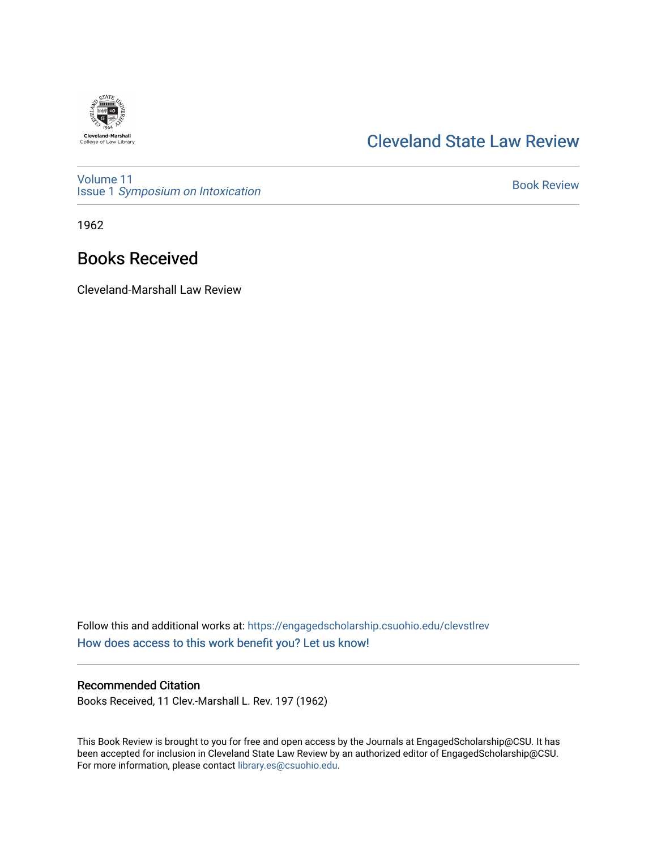

## [Cleveland State Law Review](https://engagedscholarship.csuohio.edu/clevstlrev)

[Volume 11](https://engagedscholarship.csuohio.edu/clevstlrev/vol11) Issue 1 [Symposium on Intoxication](https://engagedscholarship.csuohio.edu/clevstlrev/vol11/iss1) 

[Book Review](https://engagedscholarship.csuohio.edu/clevstlrev/vol11/iss1/41) 

1962

## Books Received

Cleveland-Marshall Law Review

Follow this and additional works at: [https://engagedscholarship.csuohio.edu/clevstlrev](https://engagedscholarship.csuohio.edu/clevstlrev?utm_source=engagedscholarship.csuohio.edu%2Fclevstlrev%2Fvol11%2Fiss1%2F41&utm_medium=PDF&utm_campaign=PDFCoverPages) [How does access to this work benefit you? Let us know!](http://library.csuohio.edu/engaged/)

## Recommended Citation

Books Received, 11 Clev.-Marshall L. Rev. 197 (1962)

This Book Review is brought to you for free and open access by the Journals at EngagedScholarship@CSU. It has been accepted for inclusion in Cleveland State Law Review by an authorized editor of EngagedScholarship@CSU. For more information, please contact [library.es@csuohio.edu.](mailto:library.es@csuohio.edu)